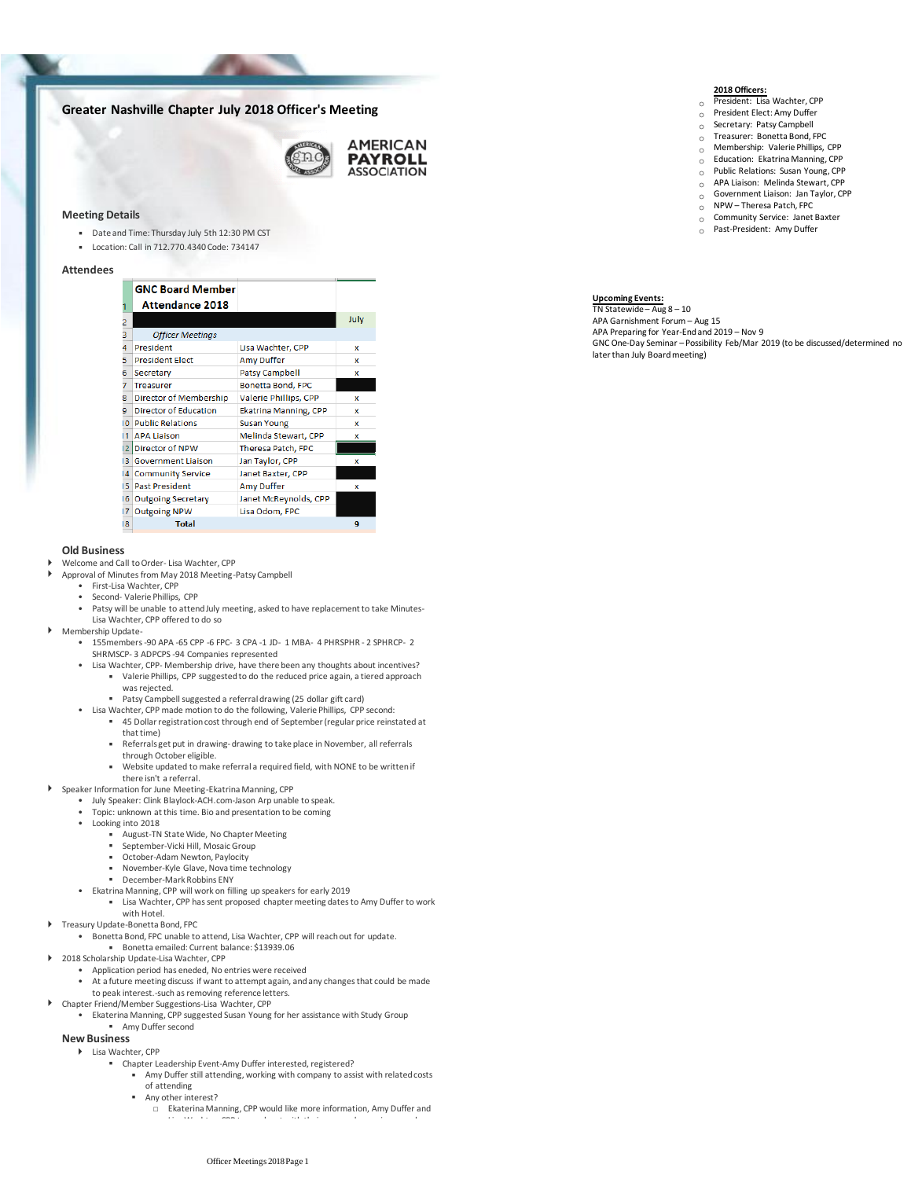# **Greater Nashville Chapter July 2018 Officer's Meeting**



### **Meeting Details**

- Date and Time: Thursday July 5th 12:30 PM CST
- Location: Call in 712.770.4340 Code: 734147

#### **Attendees**

|                | <b>GNC Board Member</b>      |                              |      |
|----------------|------------------------------|------------------------------|------|
|                | <b>Attendance 2018</b>       |                              |      |
| 2              |                              |                              | July |
| 3              | <b>Officer Meetings</b>      |                              |      |
| 4              | President                    | Lisa Wachter, CPP            | x    |
| 5              | <b>President Elect</b>       | <b>Amy Duffer</b>            | x    |
| 6              | Secretary                    | <b>Patsy Campbell</b>        | x    |
| 7              | <b>Treasurer</b>             | Bonetta Bond, FPC            |      |
| 8              | Director of Membership       | Valerie Phillips, CPP        | x    |
| 9              | <b>Director of Education</b> | <b>Ekatrina Manning, CPP</b> | x    |
| ١O             | <b>Public Relations</b>      | <b>Susan Young</b>           | x    |
| 11             | <b>APA Liaison</b>           | Melinda Stewart, CPP         | x    |
| 12             | <b>Director of NPW</b>       | Theresa Patch, FPC           |      |
| в              | <b>Government Liaison</b>    | Jan Taylor, CPP              | x    |
| $\overline{4}$ | <b>Community Service</b>     | Janet Baxter, CPP            |      |
| 15             | <b>Past President</b>        | <b>Amy Duffer</b>            | x    |
| 16             | <b>Outgoing Secretary</b>    | Janet McReynolds, CPP        |      |
| 17             | <b>Outgoing NPW</b>          | Lisa Odom, FPC               |      |
| 18             | <b>Total</b>                 |                              | q    |
|                |                              |                              |      |

#### **Old Business**

- Welcome and Call to Order- Lisa Wachter, CPP
- Approval of Minutes from May 2018 Meeting-Patsy Campbell
	- First-Lisa Wachter, CPP • Second- Valerie Phillips, CPP
	- •
	- Patsy will be unable to attend July meeting, asked to have replacement to take Minutes-Lisa Wachter, CPP offered to do so
- Membership Update-

▪

- 155 members -90 APA -65 CPP -6 FPC- 3 CPA -1 JD- 1 MBA- 4 PHRSPHR 2 SPHRCP- 2 SHRMSCP- 3 ADPCPS -94 Companies represented
- Valerie Phillips, CPP suggested to do the reduced price again, a tiered approach was rejected. • Lisa Wachter, CPP- Membership drive, have there been any thoughts about incentives?
	- Patsy Campbell suggested a referral drawing (25 dollar gift card)
- Lisa Wachter, CPP made motion to do the following, Valerie Phillips, CPP second:
	- 45 Dollar registration cost through end of September (regular price reinstated at that time)
		- Referrals get put in drawing-drawing to take place in November, all referrals through October eligible.
		- Website updated to make referral a required field, with NONE to be written if there isn't a referral.
- Speaker Information for June Meeting-Ekatrina Manning, CPP
	- July Speaker: Clink Blaylock-ACH.com-Jason Arp unable to speak.
	- Topic: unknown at this time. Bio and presentation to be coming
	- Looking into 2018
		- ending and the term of the United State Wide, No Chapter Meeting
		- September-Vicki Hill, Mosaic Group<br>■ October-Adam Newton\_Paylocity
		- October-Adam Newton, Paylocity<br>■ November-Kyle Glave Nove time t
		- November-Kyle Glave, Nova time technology ▪ December-Mark Robbins ENY
	- Ekatrina Manning, CPP will work on filling up speakers for early 2019
		- **Example 2** Lisa Wachter, CPP has sent proposed chapter meeting dates to Amy Duffer to work with Hotel.
- Treasury Update-Bonetta Bond, FPC
	- - Bonetta emailed: Current balance: \$13939.06 • Bonetta Bond, FPC unable to attend, Lisa Wachter, CPP will reach out for update.
- 2018 Scholarship Update-Lisa Wachter, CPP
	- Application period has eneded, No entries were received
	- At a future meeting discuss if want to attempt again, and any changes that could be made
	- to peak interest.-such as removing reference letters.
- Amy Duffer second • Ekaterina Manning, CPP suggested Susan Young for her assistance with Study Group Chapter Friend/Member Suggestions-Lisa Wachter, CPP

## **New Business**

#### Lisa Wachter, CPP

- Chapter Leadership Event-Amy Duffer interested, registered?
	- Amy Duffer still attending, working with company to assist with related costs of attending
	- Any other interest?
		- □ Ekaterina Manning, CPP would like more information, Amy Duffer and Lisa Wachter, CPP to reach out with their personal experience and

- **2018 Officers:** o President: Lisa Wachter, CPP
- $\circ$  President Elect: Amy Duffer
- $\circ$  Secretary: Patsy Campbell
- o Treasurer: Bonetta Bond, FPC
- $\circ$  Membership: Valerie Phillips, CPP<br> $\circ$  Education: Ekatrina Manning, CPP
- Education: Ekatrina Manning, CPP o Public Relations: Susan Young, CPP
- o APA Liaison: Melinda Stewart, CPP
- o Government Liaison: Jan Taylor, CPP
- $\circ$  NPW Theresa Patch, FPC
- $\circ$  Community Service: Janet Baxter
- $\circ$  Past-President: Amy Duffer

**Upcoming Events:** TN Statewide – Aug 8 – 10 APA Garnishment Forum – Aug 15 APA Preparing for Year-End and 2019 – Nov 9

GNC One-Day Seminar – Possibility Feb/Mar 2019 (to be discussed/determined no later than July Board meeting)